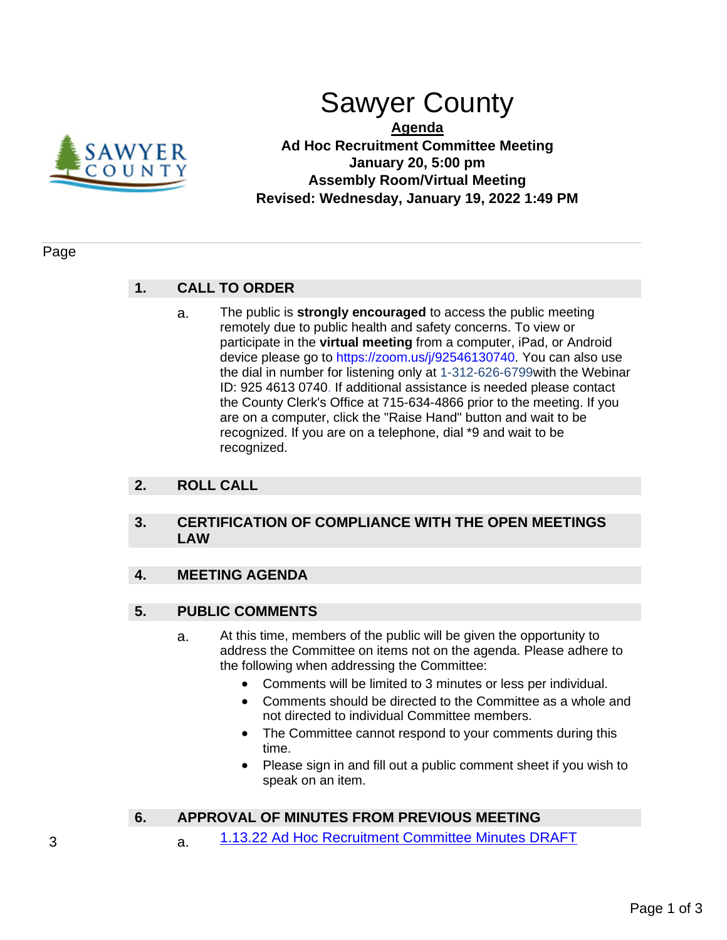

# Sawyer County

**Agenda Ad Hoc Recruitment Committee Meeting January 20, 5:00 pm Assembly Room/Virtual Meeting Revised: Wednesday, January 19, 2022 1:49 PM**

#### Page

## **1. CALL TO ORDER**

a. The public is **strongly encouraged** to access the public meeting remotely due to public health and safety concerns. To view or participate in the **virtual meeting** from a computer, iPad, or Android device please go to https://zoom.us/j/92546130740. You can also use the dial in number for listening only at 1-312-626-6799with the Webinar ID: 925 4613 0740. If additional assistance is needed please contact the County Clerk's Office at 715-634-4866 prior to the meeting. If you are on a computer, click the "Raise Hand" button and wait to be recognized. If you are on a telephone, dial \*9 and wait to be recognized.

## **2. ROLL CALL**

## **3. CERTIFICATION OF COMPLIANCE WITH THE OPEN MEETINGS LAW**

## **4. MEETING AGENDA**

## **5. PUBLIC COMMENTS**

- a. At this time, members of the public will be given the opportunity to address the Committee on items not on the agenda. Please adhere to the following when addressing the Committee:
	- Comments will be limited to 3 minutes or less per individual.
	- Comments should be directed to the Committee as a whole and not directed to individual Committee members.
	- The Committee cannot respond to your comments during this time.
	- Please sign in and fill out a public comment sheet if you wish to speak on an item.

## **6. APPROVAL OF MINUTES FROM PREVIOUS MEETING**

3 a. [1.13.22 Ad Hoc Recruitment Committee Minutes DRAFT](#page-2-0)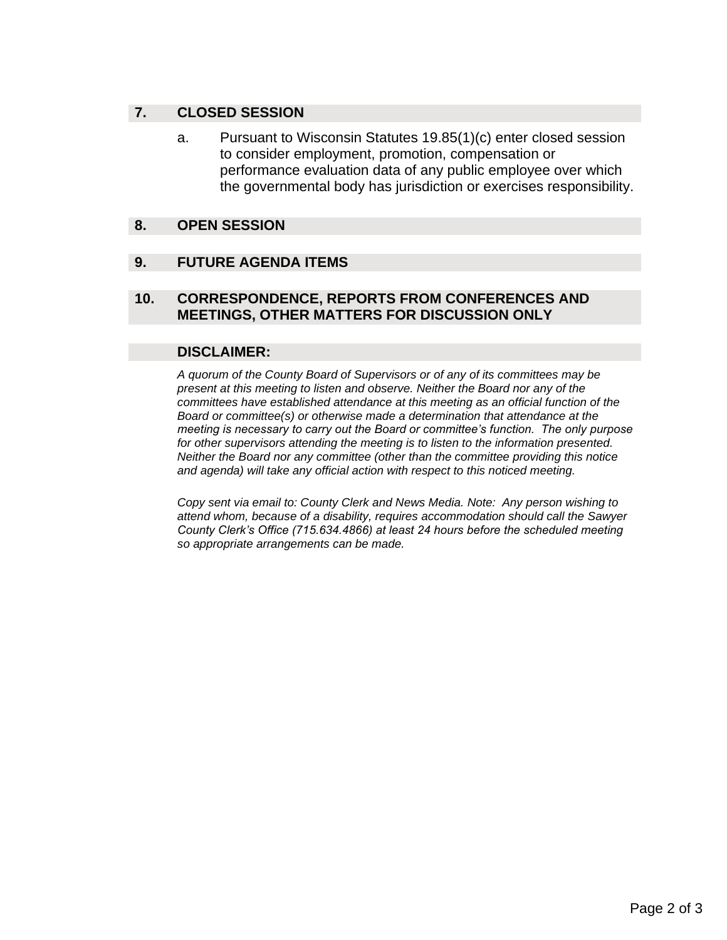## **7. CLOSED SESSION**

a. Pursuant to Wisconsin Statutes 19.85(1)(c) enter closed session to consider employment, promotion, compensation or performance evaluation data of any public employee over which the governmental body has jurisdiction or exercises responsibility.

### **8. OPEN SESSION**

#### **9. FUTURE AGENDA ITEMS**

### **10. CORRESPONDENCE, REPORTS FROM CONFERENCES AND MEETINGS, OTHER MATTERS FOR DISCUSSION ONLY**

#### **DISCLAIMER:**

*A quorum of the County Board of Supervisors or of any of its committees may be present at this meeting to listen and observe. Neither the Board nor any of the committees have established attendance at this meeting as an official function of the Board or committee(s) or otherwise made a determination that attendance at the meeting is necessary to carry out the Board or committee's function. The only purpose for other supervisors attending the meeting is to listen to the information presented. Neither the Board nor any committee (other than the committee providing this notice and agenda) will take any official action with respect to this noticed meeting.* 

*Copy sent via email to: County Clerk and News Media. Note: Any person wishing to attend whom, because of a disability, requires accommodation should call the Sawyer County Clerk's Office (715.634.4866) at least 24 hours before the scheduled meeting so appropriate arrangements can be made.*